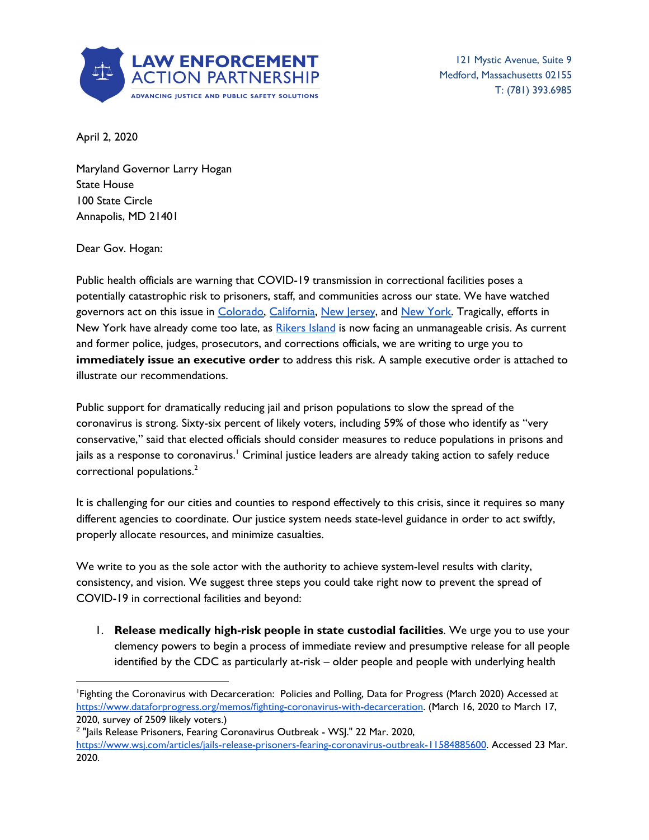

121 Mystic Avenue, Suite 9 Medford, Massachusetts 02155 T: (781) 393.6985

April 2, 2020

Maryland Governor Larry Hogan State House 100 State Circle Annapolis, MD 21401

Dear Gov. Hogan:

Public health officials are warning that COVID-19 transmission in correctional facilities poses a potentially catastrophic risk to prisoners, staff, and communities across our state. We have watched governors act on this issue in [Colorado,](https://www.denverpost.com/2020/03/26/polis-executive-orders-coronavirus-relief/) [California](https://www.latimes.com/california/story/2020-03-31/coronavirus-california-release-3500-inmates-prisons), New [Jersey](https://www.nytimes.com/2020/03/23/nyregion/coronavirus-nj-inmates-release.html), and New [York.](https://www.binghamtonhomepage.com/local-news-2/new-york-state-is-releasing-inmates-held-on-parole-violations/) Tragically, efforts in New York have already come too late, as [Rikers](https://www.theguardian.com/us-news/2020/apr/01/rikers-island-jail-coronavirus-public-health-disaster) Island is now facing an unmanageable crisis. As current and former police, judges, prosecutors, and corrections officials, we are writing to urge you to **immediately issue an executive order** to address this risk. A sample executive order is attached to illustrate our recommendations.

Public support for dramatically reducing jail and prison populations to slow the spread of the coronavirus is strong. Sixty-six percent of likely voters, including 59% of those who identify as "very conservative," said that elected officials should consider measures to reduce populations in prisons and jails as a response to coronavirus. $^{\rm l}$  Criminal justice leaders are already taking action to safely reduce correctional populations. 2

It is challenging for our cities and counties to respond effectively to this crisis, since it requires so many different agencies to coordinate. Our justice system needs state-level guidance in order to act swiftly, properly allocate resources, and minimize casualties.

We write to you as the sole actor with the authority to achieve system-level results with clarity, consistency, and vision. We suggest three steps you could take right now to prevent the spread of COVID-19 in correctional facilities and beyond:

1. **Release medically high-risk people in state custodial facilities**. We urge you to use your clemency powers to begin a process of immediate review and presumptive release for all people identified by the CDC as particularly at-risk – older people and people with underlying health

<sup>1</sup>Fighting the Coronavirus with Decarceration: Policies and Polling, Data for Progress (March 2020) Accessed at <https://www.dataforprogress.org/memos/fighting-coronavirus-with-decarceration>. (March 16, 2020 to March 17, 2020, survey of 2509 likely voters.)

<sup>&</sup>lt;sup>2</sup> "Jails Release Prisoners, Fearing Coronavirus Outbreak - WSJ." 22 Mar. 2020, <https://www.wsj.com/articles/jails-release-prisoners-fearing-coronavirus-outbreak-11584885600>. Accessed 23 Mar. 2020.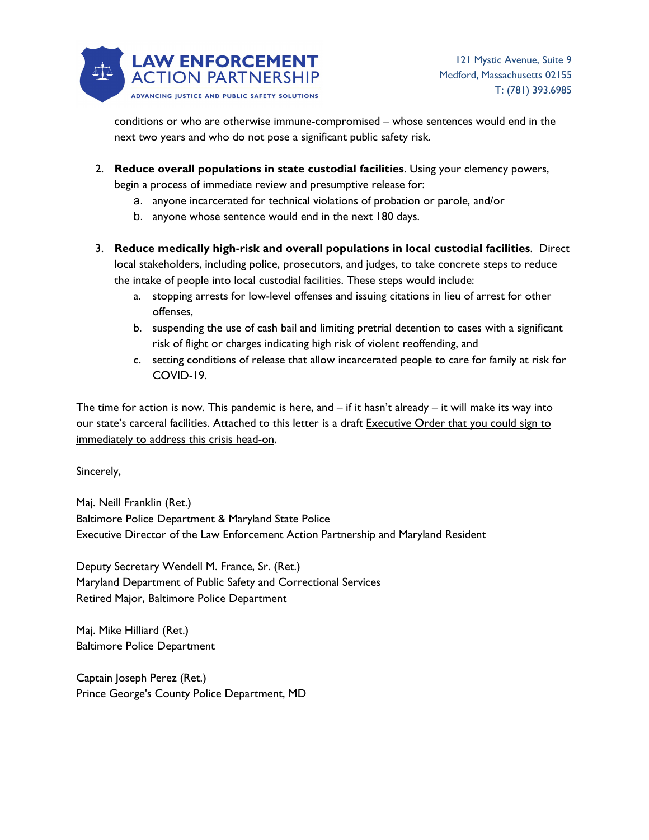

conditions or who are otherwise immune-compromised – whose sentences would end in the next two years and who do not pose a significant public safety risk.

- 2. **Reduce overall populations in state custodial facilities**. Using your clemency powers, begin a process of immediate review and presumptive release for:
	- a. anyone incarcerated for technical violations of probation or parole, and/or
	- b. anyone whose sentence would end in the next 180 days.
- 3. **Reduce medically high-risk and overall populations in local custodial facilities**. Direct local stakeholders, including police, prosecutors, and judges, to take concrete steps to reduce the intake of people into local custodial facilities. These steps would include:
	- a. stopping arrests for low-level offenses and issuing citations in lieu of arrest for other offenses,
	- b. suspending the use of cash bail and limiting pretrial detention to cases with a significant risk of flight or charges indicating high risk of violent reoffending, and
	- c. setting conditions of release that allow incarcerated people to care for family at risk for COVID-19.

The time for action is now. This pandemic is here, and  $-$  if it hasn't already  $-$  it will make its way into our state's carceral facilities. Attached to this letter is a draft Executive Order that you could sign to immediately to address this crisis head-on.

Sincerely,

Maj. Neill Franklin (Ret.) Baltimore Police Department & Maryland State Police Executive Director of the Law Enforcement Action Partnership and Maryland Resident

Deputy Secretary Wendell M. France, Sr. (Ret.) Maryland Department of Public Safety and Correctional Services Retired Major, Baltimore Police Department

Maj. Mike Hilliard (Ret.) Baltimore Police Department

Captain Joseph Perez (Ret.) Prince George's County Police Department, MD